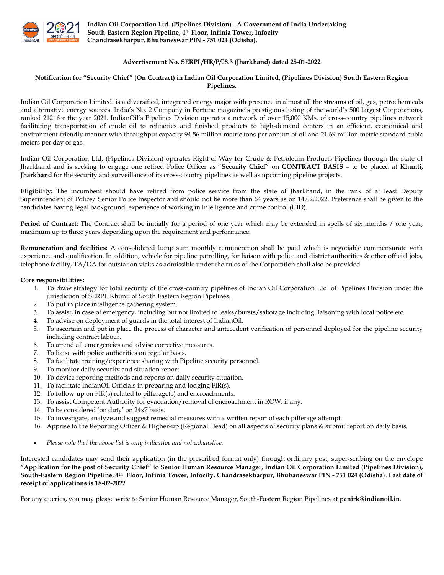

Indian Oil Corporation Ltd. (Pipelines Division) - A Government of India Undertaking South-Eastern Region Pipeline, 4th Floor, Infinia Tower, Infocity Chandrasekharpur, Bhubaneswar PIN - 751 024 (Odisha).

## Advertisement No. SERPL/HR/P/08.3 (Jharkhand) dated 28-01-2022

## Notification for "Security Chief" (On Contract) in Indian Oil Corporation Limited, (Pipelines Division) South Eastern Region Pipelines.

Indian Oil Corporation Limited. is a diversified, integrated energy major with presence in almost all the streams of oil, gas, petrochemicals and alternative energy sources. India's No. 2 Company in Fortune magazine's prestigious listing of the world's 500 largest Corporations, ranked 212 for the year 2021. IndianOil's Pipelines Division operates a network of over 15,000 KMs. of cross-country pipelines network facilitating transportation of crude oil to refineries and finished products to high-demand centers in an efficient, economical and environment-friendly manner with throughput capacity 94.56 million metric tons per annum of oil and 21.69 million metric standard cubic meters per day of gas.

Indian Oil Corporation Ltd, (Pipelines Division) operates Right-of-Way for Crude & Petroleum Products Pipelines through the state of Jharkhand and is seeking to engage one retired Police Officer as "Security Chief" on CONTRACT BASIS – to be placed at Khunti, Jharkhand for the security and surveillance of its cross-country pipelines as well as upcoming pipeline projects.

Eligibility: The incumbent should have retired from police service from the state of Jharkhand, in the rank of at least Deputy Superintendent of Police/ Senior Police Inspector and should not be more than 64 years as on 14.02.2022. Preference shall be given to the candidates having legal background, experience of working in Intelligence and crime control (CID).

Period of Contract: The Contract shall be initially for a period of one year which may be extended in spells of six months / one year, maximum up to three years depending upon the requirement and performance.

Remuneration and facilities: A consolidated lump sum monthly remuneration shall be paid which is negotiable commensurate with experience and qualification. In addition, vehicle for pipeline patrolling, for liaison with police and district authorities & other official jobs, telephone facility, TA/DA for outstation visits as admissible under the rules of the Corporation shall also be provided.

#### Core responsibilities:

- 1. To draw strategy for total security of the cross-country pipelines of Indian Oil Corporation Ltd. of Pipelines Division under the jurisdiction of SERPL Khunti of South Eastern Region Pipelines.
- 2. To put in place intelligence gathering system.
- 3. To assist, in case of emergency, including but not limited to leaks/bursts/sabotage including liaisoning with local police etc.
- 4. To advise on deployment of guards in the total interest of IndianOil.
- 5. To ascertain and put in place the process of character and antecedent verification of personnel deployed for the pipeline security including contract labour.
- 6. To attend all emergencies and advise corrective measures.
- 7. To liaise with police authorities on regular basis.
- 8. To facilitate training/experience sharing with Pipeline security personnel.
- 9. To monitor daily security and situation report.
- 10. To device reporting methods and reports on daily security situation.
- 11. To facilitate IndianOil Officials in preparing and lodging FIR(s).
- 12. To follow-up on FIR(s) related to pilferage(s) and encroachments.
- 13. To assist Competent Authority for evacuation/removal of encroachment in ROW, if any.
- 14. To be considered 'on duty' on 24x7 basis.
- 15. To investigate, analyze and suggest remedial measures with a written report of each pilferage attempt.
- 16. Apprise to the Reporting Officer & Higher-up (Regional Head) on all aspects of security plans & submit report on daily basis.
- Please note that the above list is only indicative and not exhaustive.

Interested candidates may send their application (in the prescribed format only) through ordinary post, super-scribing on the envelope "Application for the post of Security Chief" to Senior Human Resource Manager, Indian Oil Corporation Limited (Pipelines Division), South-Eastern Region Pipeline, 4th Floor, Infinia Tower, Infocity, Chandrasekharpur, Bhubaneswar PIN - 751 024 (Odisha). Last date of receipt of applications is 18-02-2022

For any queries, you may please write to Senior Human Resource Manager, South-Eastern Region Pipelines at panirk@indianoil.in.